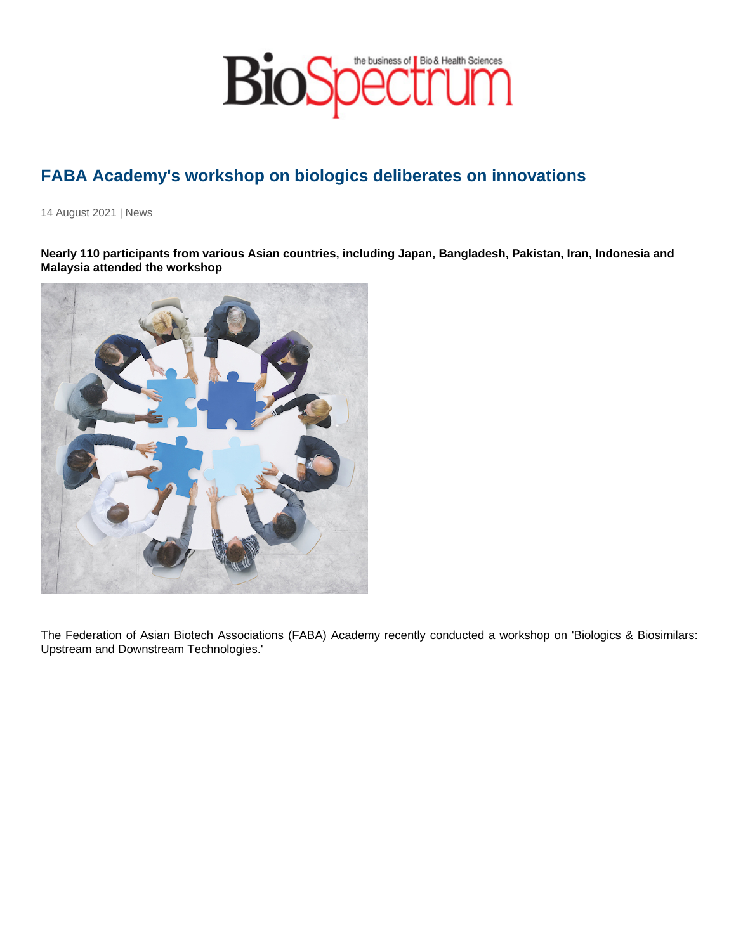## FABA Academy's workshop on biologics deliberates on innovations

14 August 2021 | News

Nearly 110 participants from various Asian countries, including Japan, Bangladesh, Pakistan, Iran, Indonesia and Malaysia attended the workshop

The Federation of Asian Biotech Associations (FABA) Academy recently conducted a workshop on 'Biologics & Biosimilars: Upstream and Downstream Technologies.'